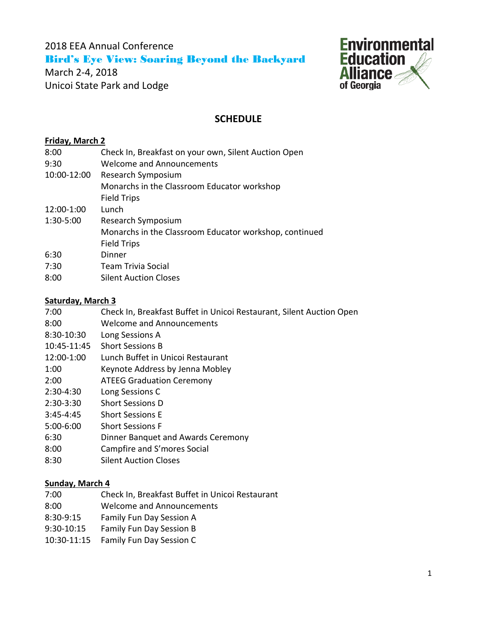2018 EEA Annual Conference Bird's Eye View: Soaring Beyond the Backyard

March 2-4, 2018 Unicoi State Park and Lodge



# **SCHEDULE**

# **Friday, March 2**

| 8:00        | Check In, Breakfast on your own, Silent Auction Open   |
|-------------|--------------------------------------------------------|
| 9:30        | <b>Welcome and Announcements</b>                       |
| 10:00-12:00 | Research Symposium                                     |
|             | Monarchs in the Classroom Educator workshop            |
|             | <b>Field Trips</b>                                     |
| 12:00-1:00  | Lunch                                                  |
| 1:30-5:00   | Research Symposium                                     |
|             | Monarchs in the Classroom Educator workshop, continued |
|             | <b>Field Trips</b>                                     |
| 6:30        | Dinner                                                 |
| 7:30        | Team Trivia Social                                     |
| 8:00        | <b>Silent Auction Closes</b>                           |

# **Saturday, March 3**

| 7:00       | Check In, Breakfast Buffet in Unicoi Restaurant, Silent Auction Open |
|------------|----------------------------------------------------------------------|
| 8:00       | Welcome and Announcements                                            |
| 8:30-10:30 | Long Sessions A                                                      |

- 10:45-11:45 Short Sessions B
- 12:00-1:00 Lunch Buffet in Unicoi Restaurant
- 1:00 Keynote Address by Jenna Mobley
- 2:00 ATEEG Graduation Ceremony
- 2:30-4:30 Long Sessions C
- 2:30-3:30 Short Sessions D
- 3:45-4:45 Short Sessions E
- 5:00-6:00 Short Sessions F
- 6:30 Dinner Banquet and Awards Ceremony
- 8:00 Campfire and S'mores Social
- 8:30 Silent Auction Closes

# **Sunday, March 4**

- 7:00 Check In, Breakfast Buffet in Unicoi Restaurant
- 8:00 Welcome and Announcements
- 8:30-9:15 Family Fun Day Session A
- 9:30-10:15 Family Fun Day Session B
- 10:30-11:15 Family Fun Day Session C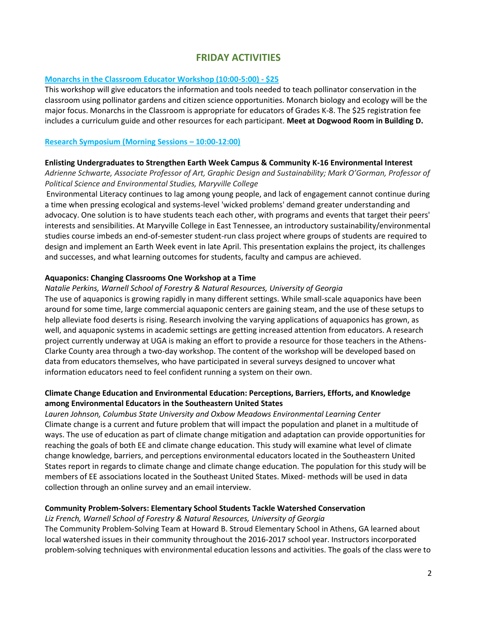# **FRIDAY ACTIVITIES**

#### **Monarchs in the Classroom Educator Workshop (10:00-5:00) - \$25**

This workshop will give educators the information and tools needed to teach pollinator conservation in the classroom using pollinator gardens and citizen science opportunities. Monarch biology and ecology will be the major focus. Monarchs in the Classroom is appropriate for educators of Grades K-8. The \$25 registration fee includes a curriculum guide and other resources for each participant. **Meet at Dogwood Room in Building D.**

#### **Research Symposium (Morning Sessions – 10:00-12:00)**

#### **Enlisting Undergraduates to Strengthen Earth Week Campus & Community K-16 Environmental Interest**

*Adrienne Schwarte, Associate Professor of Art, Graphic Design and Sustainability; Mark O'Gorman, Professor of Political Science and Environmental Studies, Maryville College*

Environmental Literacy continues to lag among young people, and lack of engagement cannot continue during a time when pressing ecological and systems-level 'wicked problems' demand greater understanding and advocacy. One solution is to have students teach each other, with programs and events that target their peers' interests and sensibilities. At Maryville College in East Tennessee, an introductory sustainability/environmental studies course imbeds an end-of-semester student-run class project where groups of students are required to design and implement an Earth Week event in late April. This presentation explains the project, its challenges and successes, and what learning outcomes for students, faculty and campus are achieved.

#### **Aquaponics: Changing Classrooms One Workshop at a Time**

#### *Natalie Perkins, Warnell School of Forestry & Natural Resources, University of Georgia*

The use of aquaponics is growing rapidly in many different settings. While small-scale aquaponics have been around for some time, large commercial aquaponic centers are gaining steam, and the use of these setups to help alleviate food deserts is rising. Research involving the varying applications of aquaponics has grown, as well, and aquaponic systems in academic settings are getting increased attention from educators. A research project currently underway at UGA is making an effort to provide a resource for those teachers in the Athens-Clarke County area through a two-day workshop. The content of the workshop will be developed based on data from educators themselves, who have participated in several surveys designed to uncover what information educators need to feel confident running a system on their own.

### **Climate Change Education and Environmental Education: Perceptions, Barriers, Efforts, and Knowledge among Environmental Educators in the Southeastern United States**

*Lauren Johnson, Columbus State University and Oxbow Meadows Environmental Learning Center* Climate change is a current and future problem that will impact the population and planet in a multitude of ways. The use of education as part of climate change mitigation and adaptation can provide opportunities for reaching the goals of both EE and climate change education. This study will examine what level of climate change knowledge, barriers, and perceptions environmental educators located in the Southeastern United States report in regards to climate change and climate change education. The population for this study will be members of EE associations located in the Southeast United States. Mixed- methods will be used in data collection through an online survey and an email interview.

#### **Community Problem-Solvers: Elementary School Students Tackle Watershed Conservation**

#### *Liz French, Warnell School of Forestry & Natural Resources, University of Georgia*

The Community Problem-Solving Team at Howard B. Stroud Elementary School in Athens, GA learned about local watershed issues in their community throughout the 2016-2017 school year. Instructors incorporated problem-solving techniques with environmental education lessons and activities. The goals of the class were to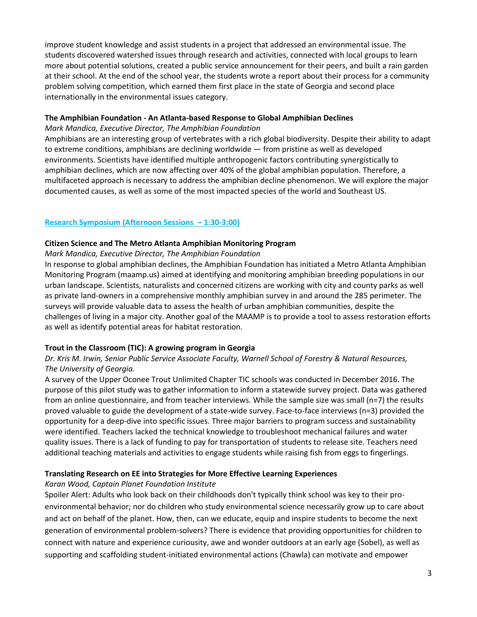improve student knowledge and assist students in a project that addressed an environmental issue. The students discovered watershed issues through research and activities, connected with local groups to learn more about potential solutions, created a public service announcement for their peers, and built a rain garden at their school. At the end of the school year, the students wrote a report about their process for a community problem solving competition, which earned them first place in the state of Georgia and second place internationally in the environmental issues category.

#### **The Amphibian Foundation - An Atlanta-based Response to Global Amphibian Declines**

*Mark Mandica, Executive Director, The Amphibian Foundation*

Amphibians are an interesting group of vertebrates with a rich global biodiversity. Despite their ability to adapt to extreme conditions, amphibians are declining worldwide — from pristine as well as developed environments. Scientists have identified multiple anthropogenic factors contributing synergistically to amphibian declines, which are now affecting over 40% of the global amphibian population. Therefore, a multifaceted approach is necessary to address the amphibian decline phenomenon. We will explore the major documented causes, as well as some of the most impacted species of the world and Southeast US.

#### **Research Symposium (Afternoon Sessions – 1:30-3:00)**

#### **Citizen Science and The Metro Atlanta Amphibian Monitoring Program**

*Mark Mandica, Executive Director, The Amphibian Foundation*

In response to global amphibian declines, the Amphibian Foundation has initiated a Metro Atlanta Amphibian Monitoring Program (maamp.us) aimed at identifying and monitoring amphibian breeding populations in our urban landscape. Scientists, naturalists and concerned citizens are working with city and county parks as well as private land-owners in a comprehensive monthly amphibian survey in and around the 285 perimeter. The surveys will provide valuable data to assess the health of urban amphibian communities, despite the challenges of living in a major city. Another goal of the MAAMP is to provide a tool to assess restoration efforts as well as identify potential areas for habitat restoration.

#### **Trout in the Classroom (TIC): A growing program in Georgia**

### *Dr. Kris M. Irwin, Senior Public Service Associate Faculty, Warnell School of Forestry & Natural Resources, The University of Georgia.*

A survey of the Upper Oconee Trout Unlimited Chapter TIC schools was conducted in December 2016. The purpose of this pilot study was to gather information to inform a statewide survey project. Data was gathered from an online questionnaire, and from teacher interviews. While the sample size was small (n=7) the results proved valuable to guide the development of a state-wide survey. Face-to-face interviews (n=3) provided the opportunity for a deep-dive into specific issues. Three major barriers to program success and sustainability were identified. Teachers lacked the technical knowledge to troubleshoot mechanical failures and water quality issues. There is a lack of funding to pay for transportation of students to release site. Teachers need additional teaching materials and activities to engage students while raising fish from eggs to fingerlings.

# **Translating Research on EE into Strategies for More Effective Learning Experiences**

#### *Karan Wood, Captain Planet Foundation Institute*

Spoiler Alert: Adults who look back on their childhoods don't typically think school was key to their proenvironmental behavior; nor do children who study environmental science necessarily grow up to care about and act on behalf of the planet. How, then, can we educate, equip and inspire students to become the next generation of environmental problem-solvers? There is evidence that providing opportunities for children to connect with nature and experience curiousity, awe and wonder outdoors at an early age (Sobel), as well as supporting and scaffolding student-initiated environmental actions (Chawla) can motivate and empower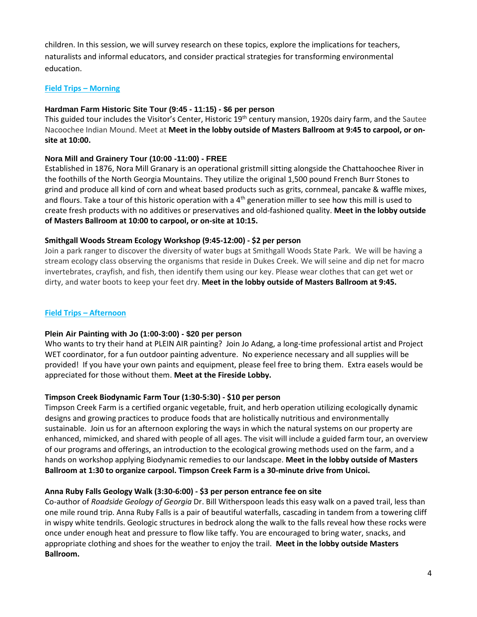children. In this session, we will survey research on these topics, explore the implications for teachers, naturalists and informal educators, and consider practical strategies for transforming environmental education.

### **Field Trips – Morning**

### **Hardman Farm Historic Site Tour (9:45 - 11:15) - \$6 per person**

This guided tour includes the Visitor's Center, Historic 19<sup>th</sup> century mansion, 1920s dairy farm, and the Sautee Nacoochee Indian Mound. Meet at **Meet in the lobby outside of Masters Ballroom at 9:45 to carpool, or onsite at 10:00.**

### **Nora Mill and Grainery Tour (10:00 -11:00) - FREE**

Established in 1876, Nora Mill Granary is an operational gristmill sitting alongside the Chattahoochee River in the foothills of the North Georgia Mountains. They utilize the original 1,500 pound French Burr Stones to grind and produce all kind of corn and wheat based products such as grits, cornmeal, pancake & waffle mixes, and flours. Take a tour of this historic operation with a  $4<sup>th</sup>$  generation miller to see how this mill is used to create fresh products with no additives or preservatives and old-fashioned quality. **Meet in the lobby outside of Masters Ballroom at 10:00 to carpool, or on-site at 10:15.**

### **Smithgall Woods Stream Ecology Workshop (9:45-12:00) - \$2 per person**

Join a park ranger to discover the diversity of water bugs at Smithgall Woods State Park. We will be having a stream ecology class observing the organisms that reside in Dukes Creek. We will seine and dip net for macro invertebrates, crayfish, and fish, then identify them using our key. Please wear clothes that can get wet or dirty, and water boots to keep your feet dry. **Meet in the lobby outside of Masters Ballroom at 9:45.**

### **Field Trips – Afternoon**

# **Plein Air Painting with Jo (1:00-3:00) - \$20 per person**

Who wants to try their hand at PLEIN AIR painting? Join Jo Adang, a long-time professional artist and Project WET coordinator, for a fun outdoor painting adventure. No experience necessary and all supplies will be provided! If you have your own paints and equipment, please feel free to bring them. Extra easels would be appreciated for those without them. **Meet at the Fireside Lobby.**

# **Timpson Creek Biodynamic Farm Tour (1:30-5:30) - \$10 per person**

Timpson Creek Farm is a certified organic vegetable, fruit, and herb operation utilizing ecologically dynamic designs and growing practices to produce foods that are holistically nutritious and environmentally sustainable. Join us for an afternoon exploring the ways in which the natural systems on our property are enhanced, mimicked, and shared with people of all ages. The visit will include a guided farm tour, an overview of our programs and offerings, an introduction to the ecological growing methods used on the farm, and a hands on workshop applying Biodynamic remedies to our landscape. **Meet in the lobby outside of Masters Ballroom at 1:30 to organize carpool. Timpson Creek Farm is a 30-minute drive from Unicoi.** 

# **Anna Ruby Falls Geology Walk (3:30-6:00) - \$3 per person entrance fee on site**

Co-author of *Roadside Geology of Georgia* Dr. Bill Witherspoon leads this easy walk on a paved trail, less than one mile round trip. Anna Ruby Falls is a pair of beautiful waterfalls, cascading in tandem from a towering cliff in wispy white tendrils. Geologic structures in bedrock along the walk to the falls reveal how these rocks were once under enough heat and pressure to flow like taffy. You are encouraged to bring water, snacks, and appropriate clothing and shoes for the weather to enjoy the trail. **Meet in the lobby outside Masters Ballroom.**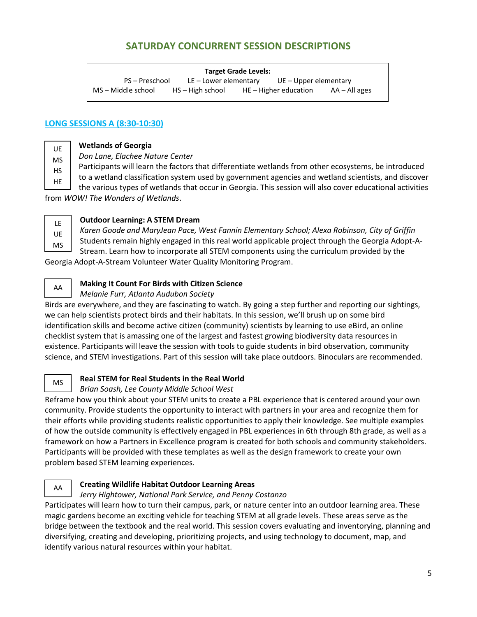# **SATURDAY CONCURRENT SESSION DESCRIPTIONS**

| <b>Target Grade Levels:</b> |                    |                         |                         |                       |  |  |  |
|-----------------------------|--------------------|-------------------------|-------------------------|-----------------------|--|--|--|
| PS – Preschool              |                    | $LE$ – Lower elementary |                         | UE – Upper elementary |  |  |  |
| MS – Middle school          | $HS - High school$ |                         | $HE - Higher education$ | AA – All ages         |  |  |  |

### **LONG SESSIONS A (8:30-10:30)**

**Wetlands of Georgia**  UE

*Don Lane, Elachee Nature Center*

Participants will learn the factors that differentiate wetlands from other ecosystems, be introduced MS

to a wetland classification system used by government agencies and wetland scientists, and discover the various types of wetlands that occur in Georgia. This session will also cover educational activities HS HE

from *WOW! The Wonders of Wetlands*.

LE UE MS

### **Outdoor Learning: A STEM Dream**

*Karen Goode and MaryJean Pace, West Fannin Elementary School; Alexa Robinson, City of Griffin* Students remain highly engaged in this real world applicable project through the Georgia Adopt-A-Stream. Learn how to incorporate all STEM components using the curriculum provided by the

Georgia Adopt-A-Stream Volunteer Water Quality Monitoring Program.

AA

# **Making It Count For Birds with Citizen Science**

*Melanie Furr, Atlanta Audubon Society*

Birds are everywhere, and they are fascinating to watch. By going a step further and reporting our sightings, we can help scientists protect birds and their habitats. In this session, we'll brush up on some bird identification skills and become active citizen (community) scientists by learning to use eBird, an online checklist system that is amassing one of the largest and fastest growing biodiversity data resources in existence. Participants will leave the session with tools to guide students in bird observation, community science, and STEM investigations. Part of this session will take place outdoors. Binoculars are recommended.

MS

# **Real STEM for Real Students in the Real World**

# *Brian Soash, Lee County Middle School West*

Reframe how you think about your STEM units to create a PBL experience that is centered around your own community. Provide students the opportunity to interact with partners in your area and recognize them for their efforts while providing students realistic opportunities to apply their knowledge. See multiple examples of how the outside community is effectively engaged in PBL experiences in 6th through 8th grade, as well as a framework on how a Partners in Excellence program is created for both schools and community stakeholders. Participants will be provided with these templates as well as the design framework to create your own problem based STEM learning experiences.

AA

# **Creating Wildlife Habitat Outdoor Learning Areas**

# *Jerry Hightower, National Park Service, and Penny Costanzo*

Participates will learn how to turn their campus, park, or nature center into an outdoor learning area. These magic gardens become an exciting vehicle for teaching STEM at all grade levels. These areas serve as the bridge between the textbook and the real world. This session covers evaluating and inventorying, planning and diversifying, creating and developing, prioritizing projects, and using technology to document, map, and identify various natural resources within your habitat.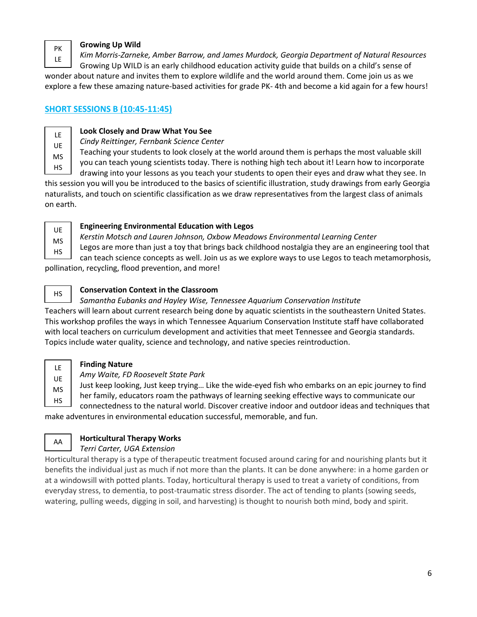PK LE

#### **Growing Up Wild**

*Kim Morris-Zarneke, Amber Barrow, and James Murdock, Georgia Department of Natural Resources*

Growing Up WILD is an early childhood education activity guide that builds on a child's sense of wonder about nature and invites them to explore wildlife and the world around them. Come join us as we explore a few these amazing nature-based activities for grade PK- 4th and become a kid again for a few hours!

# **SHORT SESSIONS B (10:45-11:45)**

LE UE MS HS

# **Look Closely and Draw What You See**

*Cindy Reittinger, Fernbank Science Center*

Teaching your students to look closely at the world around them is perhaps the most valuable skill

you can teach young scientists today. There is nothing high tech about it! Learn how to incorporate

drawing into your lessons as you teach your students to open their eyes and draw what they see. In this session you will you be introduced to the basics of scientific illustration, study drawings from early Georgia naturalists, and touch on scientific classification as we draw representatives from the largest class of animals on earth.

UE MS HS

# **Engineering Environmental Education with Legos**

*Kerstin Motsch and Lauren Johnson, Oxbow Meadows Environmental Learning Center*

Legos are more than just a toy that brings back childhood nostalgia they are an engineering tool that

can teach science concepts as well. Join us as we explore ways to use Legos to teach metamorphosis, pollination, recycling, flood prevention, and more!

HS

LE UE MS

# **Conservation Context in the Classroom**

*Samantha Eubanks and Hayley Wise, Tennessee Aquarium Conservation Institute* Teachers will learn about current research being done by aquatic scientists in the southeastern United States. This workshop profiles the ways in which Tennessee Aquarium Conservation Institute staff have collaborated with local teachers on curriculum development and activities that meet Tennessee and Georgia standards. Topics include water quality, science and technology, and native species reintroduction.

# **Finding Nature**

*Amy Waite, FD Roosevelt State Park*

Just keep looking, Just keep trying… Like the wide-eyed fish who embarks on an epic journey to find

her family, educators roam the pathways of learning seeking effective ways to communicate our connectedness to the natural world. Discover creative indoor and outdoor ideas and techniques that make adventures in environmental education successful, memorable, and fun. HS

#### **Horticultural Therapy Works** AA

# *Terri Carter, UGA Extension*

Horticultural therapy is a type of therapeutic treatment focused around caring for and nourishing plants but it benefits the individual just as much if not more than the plants. It can be done anywhere: in a home garden or at a windowsill with potted plants. Today, horticultural therapy is used to treat a variety of conditions, from everyday stress, to dementia, to post-traumatic stress disorder. The act of tending to plants (sowing seeds, watering, pulling weeds, digging in soil, and harvesting) is thought to nourish both mind, body and spirit.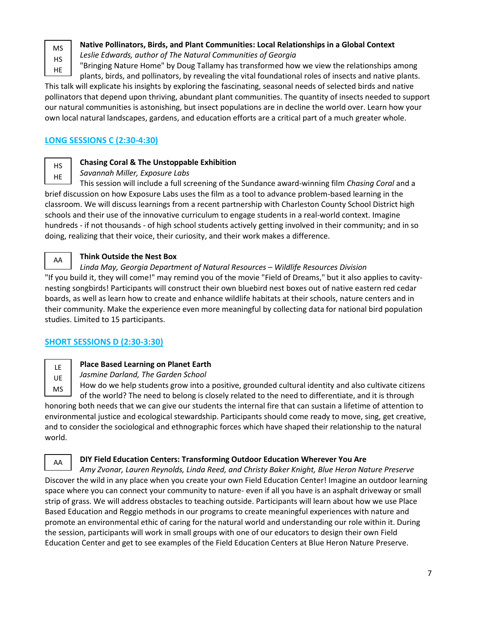MS HS HE

# **Native Pollinators, Birds, and Plant Communities: Local Relationships in a Global Context**

*Leslie Edwards, author of The Natural Communities of Georgia*

"Bringing Nature Home" by Doug Tallamy has transformed how we view the relationships among plants, birds, and pollinators, by revealing the vital foundational roles of insects and native plants.

This talk will explicate his insights by exploring the fascinating, seasonal needs of selected birds and native pollinators that depend upon thriving, abundant plant communities. The quantity of insects needed to support our natural communities is astonishing, but insect populations are in decline the world over. Learn how your own local natural landscapes, gardens, and education efforts are a critical part of a much greater whole.

# **LONG SESSIONS C (2:30-4:30)**

HS HE

AA

# **Chasing Coral & The Unstoppable Exhibition**

*Savannah Miller, Exposure Labs*

This session will include a full screening of the Sundance award-winning film *Chasing Coral* and a brief discussion on how Exposure Labs uses the film as a tool to advance problem-based learning in the classroom. We will discuss learnings from a recent partnership with Charleston County School District high schools and their use of the innovative curriculum to engage students in a real-world context. Imagine hundreds - if not thousands - of high school students actively getting involved in their community; and in so doing, realizing that their voice, their curiosity, and their work makes a difference.

# **Think Outside the Nest Box**

#### *Linda May, Georgia Department of Natural Resources – Wildlife Resources Division*

"If you build it, they will come!" may remind you of the movie "Field of Dreams," but it also applies to cavitynesting songbirds! Participants will construct their own bluebird nest boxes out of native eastern red cedar boards, as well as learn how to create and enhance wildlife habitats at their schools, nature centers and in their community. Make the experience even more meaningful by collecting data for national bird population studies. Limited to 15 participants.

# **SHORT SESSIONS D (2:30-3:30)**

LE UE MS

# **Place Based Learning on Planet Earth**

*Jasmine Darland, The Garden School*

How do we help students grow into a positive, grounded cultural identity and also cultivate citizens of the world? The need to belong is closely related to the need to differentiate, and it is through

honoring both needs that we can give our students the internal fire that can sustain a lifetime of attention to environmental justice and ecological stewardship. Participants should come ready to move, sing, get creative, and to consider the sociological and ethnographic forces which have shaped their relationship to the natural world.

AA

#### **DIY Field Education Centers: Transforming Outdoor Education Wherever You Are**

*Amy Zvonar, Lauren Reynolds, Linda Reed, and Christy Baker Knight, Blue Heron Nature Preserve* Discover the wild in any place when you create your own Field Education Center! Imagine an outdoor learning space where you can connect your community to nature- even if all you have is an asphalt driveway or small strip of grass. We will address obstacles to teaching outside. Participants will learn about how we use Place Based Education and Reggio methods in our programs to create meaningful experiences with nature and promote an environmental ethic of caring for the natural world and understanding our role within it. During the session, participants will work in small groups with one of our educators to design their own Field Education Center and get to see examples of the Field Education Centers at Blue Heron Nature Preserve.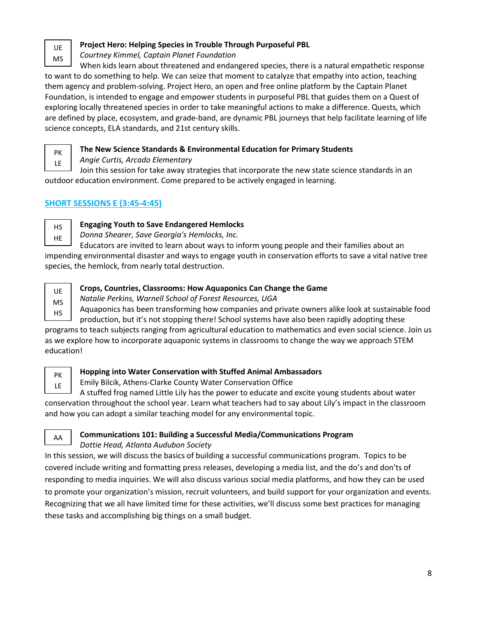UE MS

# **Project Hero: Helping Species in Trouble Through Purposeful PBL**

*Courtney Kimmel, Captain Planet Foundation*

When kids learn about threatened and endangered species, there is a natural empathetic response to want to do something to help. We can seize that moment to catalyze that empathy into action, teaching them agency and problem-solving. Project Hero, an open and free online platform by the Captain Planet Foundation, is intended to engage and empower students in purposeful PBL that guides them on a Quest of exploring locally threatened species in order to take meaningful actions to make a difference. Quests, which are defined by place, ecosystem, and grade-band, are dynamic PBL journeys that help facilitate learning of life science concepts, ELA standards, and 21st century skills.

PK LE

# **The New Science Standards & Environmental Education for Primary Students**

*Angie Curtis, Arcado Elementary*

Join this session for take away strategies that incorporate the new state science standards in an outdoor education environment. Come prepared to be actively engaged in learning.

# **SHORT SESSIONS E (3:45-4:45)**

HS HE

# **Engaging Youth to Save Endangered Hemlocks**

*Donna Shearer, Save Georgia's Hemlocks, Inc.*

Educators are invited to learn about ways to inform young people and their families about an impending environmental disaster and ways to engage youth in conservation efforts to save a vital native tree species, the hemlock, from nearly total destruction.



# **Crops, Countries, Classrooms: How Aquaponics Can Change the Game**

*Natalie Perkins, Warnell School of Forest Resources, UGA*

Aquaponics has been transforming how companies and private owners alike look at sustainable food production, but it's not stopping there! School systems have also been rapidly adopting these

programs to teach subjects ranging from agricultural education to mathematics and even social science. Join us as we explore how to incorporate aquaponic systems in classrooms to change the way we approach STEM education!



AA

# **Hopping into Water Conservation with Stuffed Animal Ambassadors**

Emily Bilcik, Athens-Clarke County Water Conservation Office

A stuffed frog named Little Lily has the power to educate and excite young students about water conservation throughout the school year. Learn what teachers had to say about Lily's impact in the classroom and how you can adopt a similar teaching model for any environmental topic.

# **Communications 101: Building a Successful Media/Communications Program**

*Dottie Head, Atlanta Audubon Society*

In this session, we will discuss the basics of building a successful communications program. Topics to be covered include writing and formatting press releases, developing a media list, and the do's and don'ts of responding to media inquiries. We will also discuss various social media platforms, and how they can be used to promote your organization's mission, recruit volunteers, and build support for your organization and events. Recognizing that we all have limited time for these activities, we'll discuss some best practices for managing these tasks and accomplishing big things on a small budget.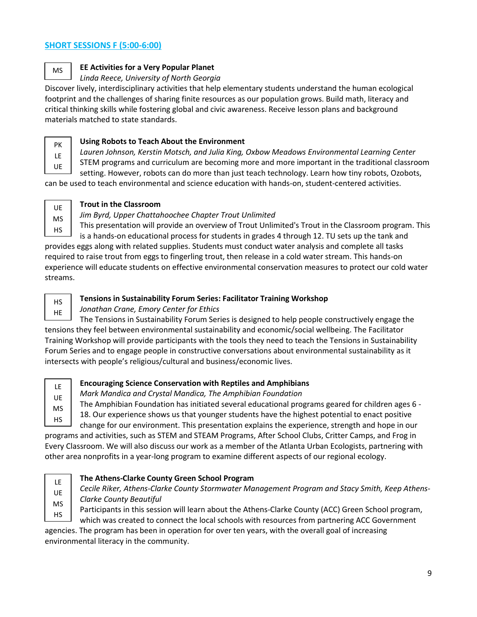# **SHORT SESSIONS F (5:00-6:00)**

MS

### **EE Activities for a Very Popular Planet**

### *Linda Reece, University of North Georgia*

Discover lively, interdisciplinary activities that help elementary students understand the human ecological footprint and the challenges of sharing finite resources as our population grows. Build math, literacy and critical thinking skills while fostering global and civic awareness. Receive lesson plans and background materials matched to state standards.

PK LE UE

### **Using Robots to Teach About the Environment**

- *Lauren Johnson, Kerstin Motsch, and Julia King, Oxbow Meadows Environmental Learning Center*
- STEM programs and curriculum are becoming more and more important in the traditional classroom

setting. However, robots can do more than just teach technology. Learn how tiny robots, Ozobots,

can be used to teach environmental and science education with hands-on, student-centered activities.

UE MS HS

### **Trout in the Classroom**

# *Jim Byrd, Upper Chattahoochee Chapter Trout Unlimited*

This presentation will provide an overview of Trout Unlimited's Trout in the Classroom program. This is a hands-on educational process for students in grades 4 through 12. TU sets up the tank and provides eggs along with related supplies. Students must conduct water analysis and complete all tasks required to raise trout from eggs to fingerling trout, then release in a cold water stream. This hands-on experience will educate students on effective environmental conservation measures to protect our cold water streams.

HS HE

# **Tensions in Sustainability Forum Series: Facilitator Training Workshop**

### *Jonathan Crane, Emory Center for Ethics*

The Tensions in Sustainability Forum Series is designed to help people constructively engage the tensions they feel between environmental sustainability and economic/social wellbeing. The Facilitator Training Workshop will provide participants with the tools they need to teach the Tensions in Sustainability Forum Series and to engage people in constructive conversations about environmental sustainability as it intersects with people's religious/cultural and business/economic lives.

LE UE MS HS

# **Encouraging Science Conservation with Reptiles and Amphibians**

*Mark Mandica and Crystal Mandica, The Amphibian Foundation*

The Amphibian Foundation has initiated several educational programs geared for children ages 6 -

18. Our experience shows us that younger students have the highest potential to enact positive

change for our environment. This presentation explains the experience, strength and hope in our programs and activities, such as STEM and STEAM Programs, After School Clubs, Critter Camps, and Frog in Every Classroom. We will also discuss our work as a member of the Atlanta Urban Ecologists, partnering with other area nonprofits in a year-long program to examine different aspects of our regional ecology.

LE UE MS HS

# **The Athens-Clarke County Green School Program**

*Cecile Riker, Athens-Clarke County Stormwater Management Program and Stacy Smith, Keep Athens-Clarke County Beautiful*

Participants in this session will learn about the Athens-Clarke County (ACC) Green School program,

which was created to connect the local schools with resources from partnering ACC Government

agencies. The program has been in operation for over ten years, with the overall goal of increasing environmental literacy in the community.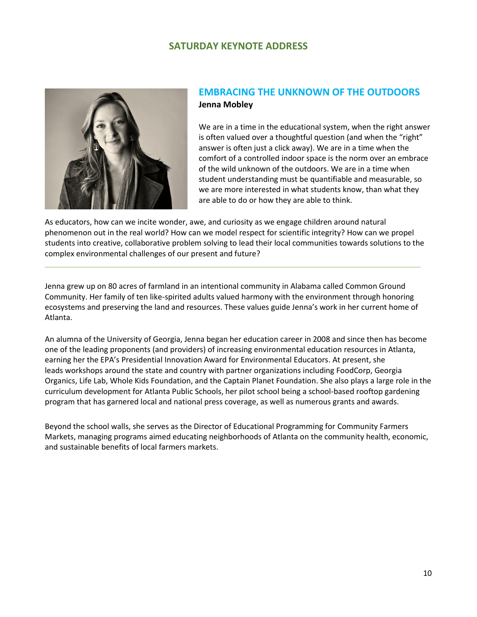# **SATURDAY KEYNOTE ADDRESS**



# **EMBRACING THE UNKNOWN OF THE OUTDOORS Jenna Mobley**

We are in a time in the educational system, when the right answer is often valued over a thoughtful question (and when the "right" answer is often just a click away). We are in a time when the comfort of a controlled indoor space is the norm over an embrace of the wild unknown of the outdoors. We are in a time when student understanding must be quantifiable and measurable, so we are more interested in what students know, than what they are able to do or how they are able to think.

As educators, how can we incite wonder, awe, and curiosity as we engage children around natural phenomenon out in the real world? How can we model respect for scientific integrity? How can we propel students into creative, collaborative problem solving to lead their local communities towards solutions to the complex environmental challenges of our present and future?

Jenna grew up on 80 acres of farmland in an intentional community in Alabama called Common Ground Community. Her family of ten like-spirited adults valued harmony with the environment through honoring ecosystems and preserving the land and resources. These values guide Jenna's work in her current home of Atlanta.

An alumna of the University of Georgia, Jenna began her education career in 2008 and since then has become one of the leading proponents (and providers) of increasing environmental education resources in Atlanta, earning her the EPA's Presidential Innovation Award for Environmental Educators. At present, she leads workshops around the state and country with partner organizations including FoodCorp, Georgia Organics, Life Lab, Whole Kids Foundation, and the Captain Planet Foundation. She also plays a large role in the curriculum development for Atlanta Public Schools, her pilot school being a school-based rooftop gardening program that has garnered local and national press coverage, as well as numerous grants and awards.

Beyond the school walls, she serves as the Director of Educational Programming for Community Farmers Markets, managing programs aimed educating neighborhoods of Atlanta on the community health, economic, and sustainable benefits of local farmers markets.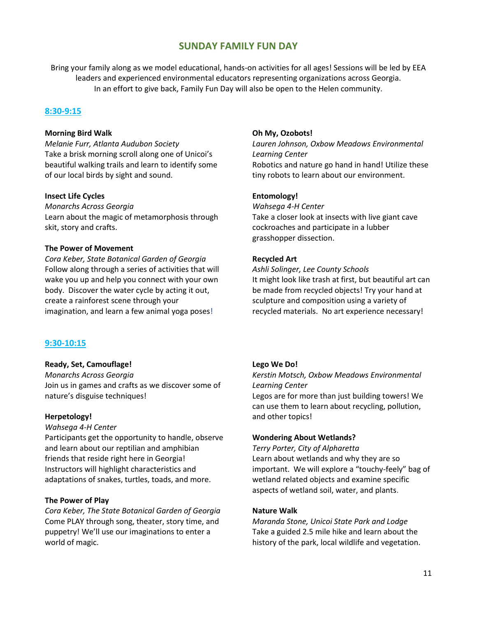# **SUNDAY FAMILY FUN DAY**

Bring your family along as we model educational, hands-on activities for all ages! Sessions will be led by EEA leaders and experienced environmental educators representing organizations across Georgia. In an effort to give back, Family Fun Day will also be open to the Helen community.

### **8:30-9:15**

#### **Morning Bird Walk**

*Melanie Furr, Atlanta Audubon Society* Take a brisk morning scroll along one of Unicoi's beautiful walking trails and learn to identify some of our local birds by sight and sound.

#### **Insect Life Cycles**

*Monarchs Across Georgia* Learn about the magic of metamorphosis through skit, story and crafts.

#### **The Power of Movement**

*Cora Keber, State Botanical Garden of Georgia* Follow along through a series of activities that will wake you up and help you connect with your own body. Discover the water cycle by acting it out, create a rainforest scene through your imagination, and learn a few animal yoga poses!

### **9:30-10:15**

#### **Ready, Set, Camouflage!**

*Monarchs Across Georgia* Join us in games and crafts as we discover some of nature's disguise techniques!

#### **Herpetology!**

*Wahsega 4-H Center*

Participants get the opportunity to handle, observe and learn about our reptilian and amphibian friends that reside right here in Georgia! Instructors will highlight characteristics and adaptations of snakes, turtles, toads, and more.

#### **The Power of Play**

*Cora Keber, The State Botanical Garden of Georgia*  Come PLAY through song, theater, story time, and puppetry! We'll use our imaginations to enter a world of magic.

#### **Oh My, Ozobots!**

*Lauren Johnson, Oxbow Meadows Environmental Learning Center* Robotics and nature go hand in hand! Utilize these tiny robots to learn about our environment.

#### **Entomology!**

*Wahsega 4-H Center* Take a closer look at insects with live giant cave cockroaches and participate in a lubber grasshopper dissection.

#### **Recycled Art**

*Ashli Solinger, Lee County Schools* It might look like trash at first, but beautiful art can be made from recycled objects! Try your hand at sculpture and composition using a variety of recycled materials. No art experience necessary!

#### **Lego We Do!**

*Kerstin Motsch, Oxbow Meadows Environmental Learning Center* Legos are for more than just building towers! We can use them to learn about recycling, pollution, and other topics!

#### **Wondering About Wetlands?**

*Terry Porter, City of Alpharetta*  Learn about wetlands and why they are so important. We will explore a "touchy-feely" bag of wetland related objects and examine specific aspects of wetland soil, water, and plants.

#### **Nature Walk**

*Maranda Stone, Unicoi State Park and Lodge* Take a guided 2.5 mile hike and learn about the history of the park, local wildlife and vegetation.